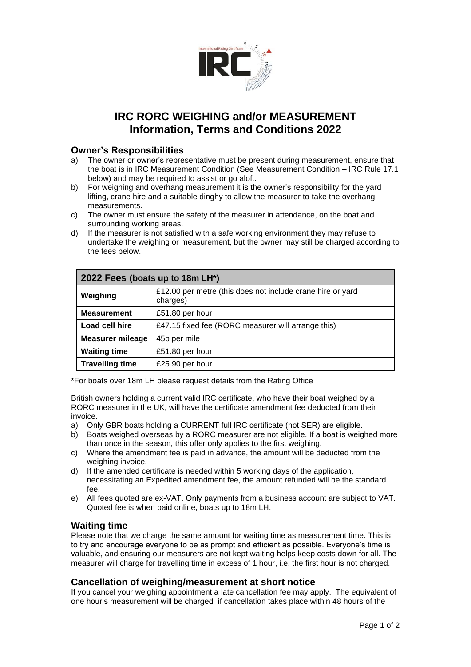

# **IRC RORC WEIGHING and/or MEASUREMENT Information, Terms and Conditions 2022**

## **Owner's Responsibilities**

- a) The owner or owner's representative must be present during measurement, ensure that the boat is in IRC Measurement Condition (See Measurement Condition – IRC Rule 17.1 below) and may be required to assist or go aloft.
- b) For weighing and overhang measurement it is the owner's responsibility for the yard lifting, crane hire and a suitable dinghy to allow the measurer to take the overhang measurements.
- c) The owner must ensure the safety of the measurer in attendance, on the boat and surrounding working areas.
- d) If the measurer is not satisfied with a safe working environment they may refuse to undertake the weighing or measurement, but the owner may still be charged according to the fees below.

| 2022 Fees (boats up to 18m LH*) |                                                                        |
|---------------------------------|------------------------------------------------------------------------|
| Weighing                        | £12.00 per metre (this does not include crane hire or yard<br>charges) |
| <b>Measurement</b>              | £51.80 per hour                                                        |
| Load cell hire                  | £47.15 fixed fee (RORC measurer will arrange this)                     |
| <b>Measurer mileage</b>         | 45p per mile                                                           |
| <b>Waiting time</b>             | £51.80 per hour                                                        |
| <b>Travelling time</b>          | £25.90 per hour                                                        |

\*For boats over 18m LH please request details from the Rating Office

British owners holding a current valid IRC certificate, who have their boat weighed by a RORC measurer in the UK, will have the certificate amendment fee deducted from their invoice.

- a) Only GBR boats holding a CURRENT full IRC certificate (not SER) are eligible.
- b) Boats weighed overseas by a RORC measurer are not eligible. If a boat is weighed more than once in the season, this offer only applies to the first weighing.
- c) Where the amendment fee is paid in advance, the amount will be deducted from the weighing invoice.
- d) If the amended certificate is needed within 5 working days of the application, necessitating an Expedited amendment fee, the amount refunded will be the standard fee.
- e) All fees quoted are ex-VAT. Only payments from a business account are subject to VAT. Quoted fee is when paid online, boats up to 18m LH.

## **Waiting time**

Please note that we charge the same amount for waiting time as measurement time. This is to try and encourage everyone to be as prompt and efficient as possible. Everyone's time is valuable, and ensuring our measurers are not kept waiting helps keep costs down for all. The measurer will charge for travelling time in excess of 1 hour, i.e. the first hour is not charged.

## **Cancellation of weighing/measurement at short notice**

If you cancel your weighing appointment a late cancellation fee may apply. The equivalent of one hour's measurement will be charged if cancellation takes place within 48 hours of the